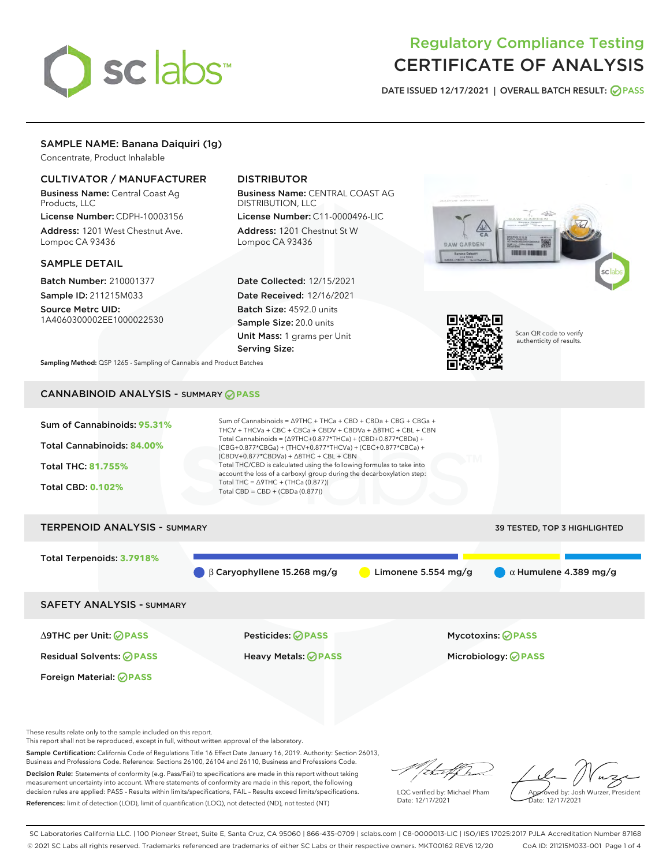

# Regulatory Compliance Testing CERTIFICATE OF ANALYSIS

DATE ISSUED 12/17/2021 | OVERALL BATCH RESULT: @ PASS

# SAMPLE NAME: Banana Daiquiri (1g)

Concentrate, Product Inhalable

# CULTIVATOR / MANUFACTURER

Business Name: Central Coast Ag Products, LLC

License Number: CDPH-10003156 Address: 1201 West Chestnut Ave. Lompoc CA 93436

## SAMPLE DETAIL

Batch Number: 210001377 Sample ID: 211215M033

Source Metrc UID: 1A4060300002EE1000022530

# DISTRIBUTOR

Business Name: CENTRAL COAST AG DISTRIBUTION, LLC

License Number: C11-0000496-LIC Address: 1201 Chestnut St W Lompoc CA 93436

Date Collected: 12/15/2021 Date Received: 12/16/2021 Batch Size: 4592.0 units Sample Size: 20.0 units Unit Mass: 1 grams per Unit Serving Size:





Scan QR code to verify authenticity of results.

Sampling Method: QSP 1265 - Sampling of Cannabis and Product Batches

# CANNABINOID ANALYSIS - SUMMARY **PASS**



Foreign Material: **PASS**

Residual Solvents: **PASS** Heavy Metals: **PASS** Microbiology: **PASS**

These results relate only to the sample included on this report.

This report shall not be reproduced, except in full, without written approval of the laboratory.

Sample Certification: California Code of Regulations Title 16 Effect Date January 16, 2019. Authority: Section 26013, Business and Professions Code. Reference: Sections 26100, 26104 and 26110, Business and Professions Code. Decision Rule: Statements of conformity (e.g. Pass/Fail) to specifications are made in this report without taking

measurement uncertainty into account. Where statements of conformity are made in this report, the following decision rules are applied: PASS – Results within limits/specifications, FAIL – Results exceed limits/specifications. References: limit of detection (LOD), limit of quantification (LOQ), not detected (ND), not tested (NT)

that f h

LQC verified by: Michael Pham Date: 12/17/2021

Approved by: Josh Wurzer, President ate: 12/17/2021

SC Laboratories California LLC. | 100 Pioneer Street, Suite E, Santa Cruz, CA 95060 | 866-435-0709 | sclabs.com | C8-0000013-LIC | ISO/IES 17025:2017 PJLA Accreditation Number 87168 © 2021 SC Labs all rights reserved. Trademarks referenced are trademarks of either SC Labs or their respective owners. MKT00162 REV6 12/20 CoA ID: 211215M033-001 Page 1 of 4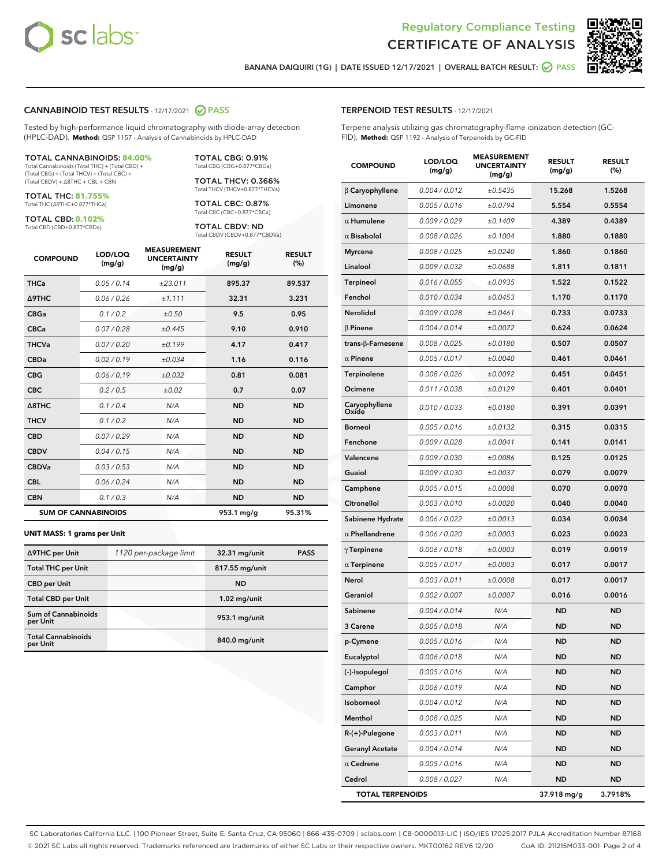

Terpene analysis utilizing gas chromatography-flame ionization detection (GC-

MEASUREMENT



BANANA DAIQUIRI (1G) | DATE ISSUED 12/17/2021 | OVERALL BATCH RESULT: **O PASS** 

TERPENOID TEST RESULTS - 12/17/2021

FID). **Method:** QSP 1192 - Analysis of Terpenoids by GC-FID

## CANNABINOID TEST RESULTS - 12/17/2021 2 PASS

Tested by high-performance liquid chromatography with diode-array detection (HPLC-DAD). **Method:** QSP 1157 - Analysis of Cannabinoids by HPLC-DAD

#### TOTAL CANNABINOIDS: **84.00%**

Total Cannabinoids (Total THC) + (Total CBD) + (Total CBG) + (Total THCV) + (Total CBC) + (Total CBDV) + ∆8THC + CBL + CBN

TOTAL THC: **81.755%** Total THC (∆9THC+0.877\*THCa)

TOTAL CBD: **0.102%**

Total CBD (CBD+0.877\*CBDa)

TOTAL CBG: 0.91% Total CBG (CBG+0.877\*CBGa)

TOTAL THCV: 0.366% Total THCV (THCV+0.877\*THCVa)

TOTAL CBC: 0.87% Total CBC (CBC+0.877\*CBCa)

TOTAL CBDV: ND Total CBDV (CBDV+0.877\*CBDVa)

| <b>COMPOUND</b> | LOD/LOQ<br>(mg/g)          | <b>MEASUREMENT</b><br><b>UNCERTAINTY</b><br>(mg/g) | <b>RESULT</b><br>(mg/g) | <b>RESULT</b><br>(%) |
|-----------------|----------------------------|----------------------------------------------------|-------------------------|----------------------|
| <b>THCa</b>     | 0.05/0.14                  | ±23.011                                            | 895.37                  | 89.537               |
| <b>A9THC</b>    | 0.06 / 0.26                | ±1.111                                             | 32.31                   | 3.231                |
| <b>CBGa</b>     | 0.1/0.2                    | ±0.50                                              | 9.5                     | 0.95                 |
| <b>CBCa</b>     | 0.07 / 0.28                | ±0.445                                             | 9.10                    | 0.910                |
| <b>THCVa</b>    | 0.07/0.20                  | ±0.199                                             | 4.17                    | 0.417                |
| <b>CBDa</b>     | 0.02/0.19                  | ±0.034                                             | 1.16                    | 0.116                |
| <b>CBG</b>      | 0.06/0.19                  | ±0.032                                             | 0.81                    | 0.081                |
| <b>CBC</b>      | 0.2 / 0.5                  | ±0.02                                              | 0.7                     | 0.07                 |
| A8THC           | 0.1/0.4                    | N/A                                                | <b>ND</b>               | <b>ND</b>            |
| <b>THCV</b>     | 0.1/0.2                    | N/A                                                | <b>ND</b>               | <b>ND</b>            |
| <b>CBD</b>      | 0.07/0.29                  | N/A                                                | <b>ND</b>               | <b>ND</b>            |
| <b>CBDV</b>     | 0.04 / 0.15                | N/A                                                | <b>ND</b>               | <b>ND</b>            |
| <b>CBDVa</b>    | 0.03/0.53                  | N/A                                                | <b>ND</b>               | <b>ND</b>            |
| <b>CBL</b>      | 0.06 / 0.24                | N/A                                                | <b>ND</b>               | <b>ND</b>            |
| <b>CBN</b>      | 0.1 / 0.3                  | N/A                                                | <b>ND</b>               | <b>ND</b>            |
|                 | <b>SUM OF CANNABINOIDS</b> |                                                    | 953.1 mg/g              | 95.31%               |

#### **UNIT MASS: 1 grams per Unit**

| ∆9THC per Unit                        | 1120 per-package limit | 32.31 mg/unit  | <b>PASS</b> |
|---------------------------------------|------------------------|----------------|-------------|
| <b>Total THC per Unit</b>             |                        | 817.55 mg/unit |             |
| <b>CBD per Unit</b>                   |                        | <b>ND</b>      |             |
| <b>Total CBD per Unit</b>             |                        | $1.02$ mg/unit |             |
| Sum of Cannabinoids<br>per Unit       |                        | 953.1 mg/unit  |             |
| <b>Total Cannabinoids</b><br>per Unit |                        | 840.0 mg/unit  |             |

| <b>COMPOUND</b>         | LOD/LOQ<br>(mg/g)    | <b>MEASUREMENT</b><br><b>UNCERTAINTY</b><br>(mg/g) | <b>RESULT</b><br>(mg/g) | <b>RESULT</b><br>$(\%)$ |
|-------------------------|----------------------|----------------------------------------------------|-------------------------|-------------------------|
| $\beta$ Caryophyllene   | 0.004 / 0.012        | ±0.5435                                            | 15.268                  | 1.5268                  |
| Limonene                | 0.005 / 0.016        | ±0.0794                                            | 5.554                   | 0.5554                  |
| $\alpha$ Humulene       | 0.009/0.029          | ±0.1409                                            | 4.389                   | 0.4389                  |
| $\alpha$ Bisabolol      | 0.008 / 0.026        | ±0.1004                                            | 1.880                   | 0.1880                  |
| <b>Myrcene</b>          | 0.008 / 0.025        | ±0.0240                                            | 1.860                   | 0.1860                  |
| Linalool                | 0.009 / 0.032        | ±0.0688                                            | 1.811                   | 0.1811                  |
| Terpineol               | 0.016 / 0.055        | ±0.0935                                            | 1.522                   | 0.1522                  |
| Fenchol                 | 0.010 / 0.034        | ±0.0453                                            | 1.170                   | 0.1170                  |
| <b>Nerolidol</b>        | 0.009 / 0.028        | ±0.0461                                            | 0.733                   | 0.0733                  |
| <b>B</b> Pinene         | 0.004 / 0.014        | ±0.0072                                            | 0.624                   | 0.0624                  |
| trans-β-Farnesene       | 0.008 / 0.025        | ±0.0180                                            | 0.507                   | 0.0507                  |
| $\alpha$ Pinene         | 0.005 / 0.017        | ±0.0040                                            | 0.461                   | 0.0461                  |
| Terpinolene             | 0.008 / 0.026        | ±0.0092                                            | 0.451                   | 0.0451                  |
| Ocimene                 | 0.011 / 0.038        | ±0.0129                                            | 0.401                   | 0.0401                  |
| Caryophyllene<br>Oxide  | 0.010 / 0.033        | ±0.0180                                            | 0.391                   | 0.0391                  |
| <b>Borneol</b>          | 0.005 / 0.016        | ±0.0132                                            | 0.315                   | 0.0315                  |
| Fenchone                | 0.009 / 0.028        | ±0.0041                                            | 0.141                   | 0.0141                  |
| Valencene               | 0.009 / 0.030        | ±0.0086                                            | 0.125                   | 0.0125                  |
| Guaiol                  | <i>0.009 / 0.030</i> | ±0.0037                                            | 0.079                   | 0.0079                  |
| Camphene                | 0.005 / 0.015        | ±0.0008                                            | 0.070                   | 0.0070                  |
| Citronellol             | 0.003 / 0.010        | ±0.0020                                            | 0.040                   | 0.0040                  |
| Sabinene Hydrate        | 0.006 / 0.022        | ±0.0013                                            | 0.034                   | 0.0034                  |
| $\alpha$ Phellandrene   | 0.006 / 0.020        | ±0.0003                                            | 0.023                   | 0.0023                  |
| $\gamma$ Terpinene      | 0.006 / 0.018        | ±0.0003                                            | 0.019                   | 0.0019                  |
| $\alpha$ Terpinene      | 0.005 / 0.017        | ±0.0003                                            | 0.017                   | 0.0017                  |
| Nerol                   | 0.003 / 0.011        | ±0.0008                                            | 0.017                   | 0.0017                  |
| Geraniol                | 0.002 / 0.007        | ±0.0007                                            | 0.016                   | 0.0016                  |
| Sabinene                | 0.004 / 0.014        | N/A                                                | <b>ND</b>               | <b>ND</b>               |
| 3 Carene                | 0.005 / 0.018        | N/A                                                | <b>ND</b>               | ND                      |
| p-Cymene                | 0.005 / 0.016        | N/A                                                | <b>ND</b>               | ND                      |
| Eucalyptol              | 0.006 / 0.018        | N/A                                                | ND                      | ND                      |
| (-)-Isopulegol          | 0.005 / 0.016        | N/A                                                | ND                      | ND                      |
| Camphor                 | 0.006 / 0.019        | N/A                                                | ND                      | ND                      |
| Isoborneol              | 0.004 / 0.012        | N/A                                                | ND                      | ND                      |
| Menthol                 | 0.008 / 0.025        | N/A                                                | ND                      | ND                      |
| R-(+)-Pulegone          | 0.003 / 0.011        | N/A                                                | ND                      | ND                      |
| <b>Geranyl Acetate</b>  | 0.004 / 0.014        | N/A                                                | ND                      | ND                      |
| $\alpha$ Cedrene        | 0.005 / 0.016        | N/A                                                | ND                      | ND                      |
| Cedrol                  | 0.008 / 0.027        | N/A                                                | ND                      | ND                      |
| <b>TOTAL TERPENOIDS</b> |                      |                                                    | 37.918 mg/g             | 3.7918%                 |

SC Laboratories California LLC. | 100 Pioneer Street, Suite E, Santa Cruz, CA 95060 | 866-435-0709 | sclabs.com | C8-0000013-LIC | ISO/IES 17025:2017 PJLA Accreditation Number 87168 © 2021 SC Labs all rights reserved. Trademarks referenced are trademarks of either SC Labs or their respective owners. MKT00162 REV6 12/20 CoA ID: 211215M033-001 Page 2 of 4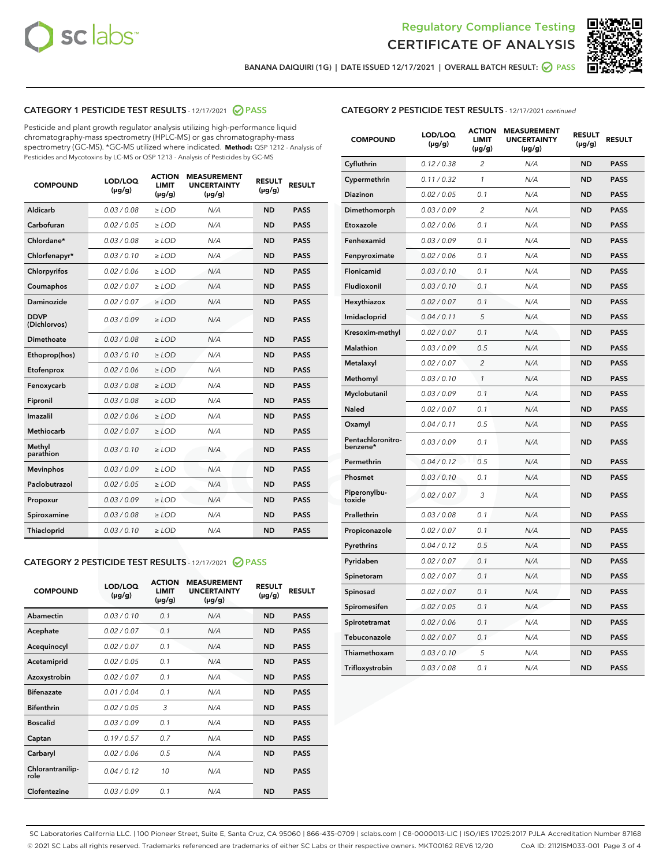



BANANA DAIQUIRI (1G) | DATE ISSUED 12/17/2021 | OVERALL BATCH RESULT: @ PASS

# CATEGORY 1 PESTICIDE TEST RESULTS - 12/17/2021 2 PASS

Pesticide and plant growth regulator analysis utilizing high-performance liquid chromatography-mass spectrometry (HPLC-MS) or gas chromatography-mass spectrometry (GC-MS). \*GC-MS utilized where indicated. **Method:** QSP 1212 - Analysis of Pesticides and Mycotoxins by LC-MS or QSP 1213 - Analysis of Pesticides by GC-MS

| <b>COMPOUND</b>             | LOD/LOQ<br>$(\mu g/g)$ | <b>ACTION</b><br><b>LIMIT</b><br>$(\mu g/g)$ | <b>MEASUREMENT</b><br><b>UNCERTAINTY</b><br>$(\mu g/g)$ | <b>RESULT</b><br>$(\mu g/g)$ | <b>RESULT</b> |
|-----------------------------|------------------------|----------------------------------------------|---------------------------------------------------------|------------------------------|---------------|
| Aldicarb                    | 0.03/0.08              | $\ge$ LOD                                    | N/A                                                     | <b>ND</b>                    | <b>PASS</b>   |
| Carbofuran                  | 0.02/0.05              | $>$ LOD                                      | N/A                                                     | <b>ND</b>                    | <b>PASS</b>   |
| Chlordane*                  | 0.03 / 0.08            | $\ge$ LOD                                    | N/A                                                     | <b>ND</b>                    | <b>PASS</b>   |
| Chlorfenapyr*               | 0.03/0.10              | $\ge$ LOD                                    | N/A                                                     | <b>ND</b>                    | <b>PASS</b>   |
| Chlorpyrifos                | 0.02 / 0.06            | $\ge$ LOD                                    | N/A                                                     | <b>ND</b>                    | <b>PASS</b>   |
| Coumaphos                   | 0.02 / 0.07            | $>$ LOD                                      | N/A                                                     | <b>ND</b>                    | <b>PASS</b>   |
| Daminozide                  | 0.02/0.07              | $>$ LOD                                      | N/A                                                     | <b>ND</b>                    | <b>PASS</b>   |
| <b>DDVP</b><br>(Dichlorvos) | 0.03/0.09              | $\ge$ LOD                                    | N/A                                                     | <b>ND</b>                    | <b>PASS</b>   |
| Dimethoate                  | 0.03 / 0.08            | $\ge$ LOD                                    | N/A                                                     | <b>ND</b>                    | <b>PASS</b>   |
| Ethoprop(hos)               | 0.03/0.10              | $>$ LOD                                      | N/A                                                     | <b>ND</b>                    | <b>PASS</b>   |
| Etofenprox                  | 0.02 / 0.06            | $\ge$ LOD                                    | N/A                                                     | <b>ND</b>                    | <b>PASS</b>   |
| Fenoxycarb                  | 0.03/0.08              | $\ge$ LOD                                    | N/A                                                     | <b>ND</b>                    | <b>PASS</b>   |
| Fipronil                    | 0.03/0.08              | $\ge$ LOD                                    | N/A                                                     | <b>ND</b>                    | <b>PASS</b>   |
| Imazalil                    | 0.02 / 0.06            | $\ge$ LOD                                    | N/A                                                     | <b>ND</b>                    | <b>PASS</b>   |
| <b>Methiocarb</b>           | 0.02 / 0.07            | $\ge$ LOD                                    | N/A                                                     | <b>ND</b>                    | <b>PASS</b>   |
| Methyl<br>parathion         | 0.03/0.10              | $\ge$ LOD                                    | N/A                                                     | <b>ND</b>                    | <b>PASS</b>   |
| <b>Mevinphos</b>            | 0.03/0.09              | $>$ LOD                                      | N/A                                                     | <b>ND</b>                    | <b>PASS</b>   |
| Paclobutrazol               | 0.02 / 0.05            | $\ge$ LOD                                    | N/A                                                     | <b>ND</b>                    | <b>PASS</b>   |
| Propoxur                    | 0.03/0.09              | $\ge$ LOD                                    | N/A                                                     | <b>ND</b>                    | <b>PASS</b>   |
| Spiroxamine                 | 0.03/0.08              | $\ge$ LOD                                    | N/A                                                     | <b>ND</b>                    | <b>PASS</b>   |
| Thiacloprid                 | 0.03/0.10              | $\ge$ LOD                                    | N/A                                                     | <b>ND</b>                    | <b>PASS</b>   |

# CATEGORY 2 PESTICIDE TEST RESULTS - 12/17/2021 @ PASS

| <b>COMPOUND</b>          | LOD/LOO<br>$(\mu g/g)$ | <b>ACTION</b><br>LIMIT<br>$(\mu g/g)$ | <b>MEASUREMENT</b><br><b>UNCERTAINTY</b><br>$(\mu g/g)$ | <b>RESULT</b><br>$(\mu g/g)$ | <b>RESULT</b> |  |
|--------------------------|------------------------|---------------------------------------|---------------------------------------------------------|------------------------------|---------------|--|
| Abamectin                | 0.03/0.10              | 0.1                                   | N/A                                                     | <b>ND</b>                    | <b>PASS</b>   |  |
| Acephate                 | 0.02/0.07              | 0.1                                   | N/A                                                     | <b>ND</b>                    | <b>PASS</b>   |  |
| Acequinocyl              | 0.02/0.07              | 0.1                                   | N/A                                                     | <b>ND</b>                    | <b>PASS</b>   |  |
| Acetamiprid              | 0.02 / 0.05            | 0.1                                   | N/A                                                     | <b>ND</b>                    | <b>PASS</b>   |  |
| Azoxystrobin             | 0.02/0.07              | 0.1                                   | N/A                                                     | <b>ND</b>                    | <b>PASS</b>   |  |
| <b>Bifenazate</b>        | 0.01 / 0.04            | 0.1                                   | N/A                                                     | <b>ND</b>                    | <b>PASS</b>   |  |
| <b>Bifenthrin</b>        | 0.02 / 0.05            | 3                                     | N/A                                                     | <b>ND</b>                    | <b>PASS</b>   |  |
| <b>Boscalid</b>          | 0.03/0.09              | 0.1                                   | N/A                                                     | <b>ND</b>                    | <b>PASS</b>   |  |
| Captan                   | 0.19/0.57              | 0.7                                   | N/A                                                     | <b>ND</b>                    | <b>PASS</b>   |  |
| Carbaryl                 | 0.02/0.06              | 0.5                                   | N/A                                                     | <b>ND</b>                    | <b>PASS</b>   |  |
| Chlorantranilip-<br>role | 0.04/0.12              | 10                                    | N/A                                                     | <b>ND</b>                    | <b>PASS</b>   |  |
| Clofentezine             | 0.03/0.09              | 0.1                                   | N/A                                                     | <b>ND</b>                    | <b>PASS</b>   |  |

| <b>CATEGORY 2 PESTICIDE TEST RESULTS</b> - 12/17/2021 continued |  |  |  |  |  |
|-----------------------------------------------------------------|--|--|--|--|--|
|-----------------------------------------------------------------|--|--|--|--|--|

| <b>COMPOUND</b>               | LOD/LOQ<br>(µg/g) | <b>ACTION</b><br>LIMIT<br>$(\mu g/g)$ | <b>MEASUREMENT</b><br><b>UNCERTAINTY</b><br>$(\mu g/g)$ | <b>RESULT</b><br>(µg/g) | <b>RESULT</b> |
|-------------------------------|-------------------|---------------------------------------|---------------------------------------------------------|-------------------------|---------------|
| Cyfluthrin                    | 0.12 / 0.38       | 2                                     | N/A                                                     | <b>ND</b>               | <b>PASS</b>   |
| Cypermethrin                  | 0.11 / 0.32       | 1                                     | N/A                                                     | <b>ND</b>               | <b>PASS</b>   |
| Diazinon                      | 0.02 / 0.05       | 0.1                                   | N/A                                                     | ND                      | PASS          |
| Dimethomorph                  | 0.03 / 0.09       | $\overline{c}$                        | N/A                                                     | <b>ND</b>               | <b>PASS</b>   |
| Etoxazole                     | 0.02 / 0.06       | 0.1                                   | N/A                                                     | ND                      | <b>PASS</b>   |
| Fenhexamid                    | 0.03 / 0.09       | 0.1                                   | N/A                                                     | ND                      | <b>PASS</b>   |
| Fenpyroximate                 | 0.02 / 0.06       | 0.1                                   | N/A                                                     | <b>ND</b>               | <b>PASS</b>   |
| Flonicamid                    | 0.03 / 0.10       | 0.1                                   | N/A                                                     | <b>ND</b>               | <b>PASS</b>   |
| Fludioxonil                   | 0.03 / 0.10       | 0.1                                   | N/A                                                     | <b>ND</b>               | <b>PASS</b>   |
| Hexythiazox                   | 0.02 / 0.07       | 0.1                                   | N/A                                                     | ND                      | <b>PASS</b>   |
| Imidacloprid                  | 0.04 / 0.11       | 5                                     | N/A                                                     | <b>ND</b>               | <b>PASS</b>   |
| Kresoxim-methyl               | 0.02 / 0.07       | 0.1                                   | N/A                                                     | ND                      | <b>PASS</b>   |
| Malathion                     | 0.03 / 0.09       | 0.5                                   | N/A                                                     | ND                      | <b>PASS</b>   |
| Metalaxyl                     | 0.02 / 0.07       | $\overline{2}$                        | N/A                                                     | <b>ND</b>               | <b>PASS</b>   |
| Methomyl                      | 0.03 / 0.10       | 1                                     | N/A                                                     | <b>ND</b>               | <b>PASS</b>   |
| Myclobutanil                  | 0.03 / 0.09       | 0.1                                   | N/A                                                     | ND                      | <b>PASS</b>   |
| <b>Naled</b>                  | 0.02 / 0.07       | 0.1                                   | N/A                                                     | ND                      | <b>PASS</b>   |
| Oxamyl                        | 0.04 / 0.11       | 0.5                                   | N/A                                                     | ND                      | <b>PASS</b>   |
| Pentachloronitro-<br>benzene* | 0.03/0.09         | 0.1                                   | N/A                                                     | ND                      | <b>PASS</b>   |
| Permethrin                    | 0.04 / 0.12       | 0.5                                   | N/A                                                     | ND                      | PASS          |
| Phosmet                       | 0.03 / 0.10       | 0.1                                   | N/A                                                     | <b>ND</b>               | <b>PASS</b>   |
| Piperonylbu-<br>toxide        | 0.02 / 0.07       | 3                                     | N/A                                                     | ND                      | <b>PASS</b>   |
| Prallethrin                   | 0.03 / 0.08       | 0.1                                   | N/A                                                     | <b>ND</b>               | <b>PASS</b>   |
| Propiconazole                 | 0.02 / 0.07       | 0.1                                   | N/A                                                     | ND                      | <b>PASS</b>   |
| Pyrethrins                    | 0.04 / 0.12       | 0.5                                   | N/A                                                     | ND                      | <b>PASS</b>   |
| Pyridaben                     | 0.02 / 0.07       | 0.1                                   | N/A                                                     | ND                      | <b>PASS</b>   |
| Spinetoram                    | 0.02 / 0.07       | 0.1                                   | N/A                                                     | ND                      | <b>PASS</b>   |
| Spinosad                      | 0.02 / 0.07       | 0.1                                   | N/A                                                     | ND                      | <b>PASS</b>   |
| Spiromesifen                  | 0.02 / 0.05       | 0.1                                   | N/A                                                     | ND                      | <b>PASS</b>   |
| Spirotetramat                 | 0.02 / 0.06       | 0.1                                   | N/A                                                     | ND                      | <b>PASS</b>   |
| Tebuconazole                  | 0.02 / 0.07       | 0.1                                   | N/A                                                     | ND                      | <b>PASS</b>   |
| Thiamethoxam                  | 0.03 / 0.10       | 5                                     | N/A                                                     | ND                      | <b>PASS</b>   |
| Trifloxystrobin               | 0.03 / 0.08       | 0.1                                   | N/A                                                     | ND                      | <b>PASS</b>   |

SC Laboratories California LLC. | 100 Pioneer Street, Suite E, Santa Cruz, CA 95060 | 866-435-0709 | sclabs.com | C8-0000013-LIC | ISO/IES 17025:2017 PJLA Accreditation Number 87168 © 2021 SC Labs all rights reserved. Trademarks referenced are trademarks of either SC Labs or their respective owners. MKT00162 REV6 12/20 CoA ID: 211215M033-001 Page 3 of 4